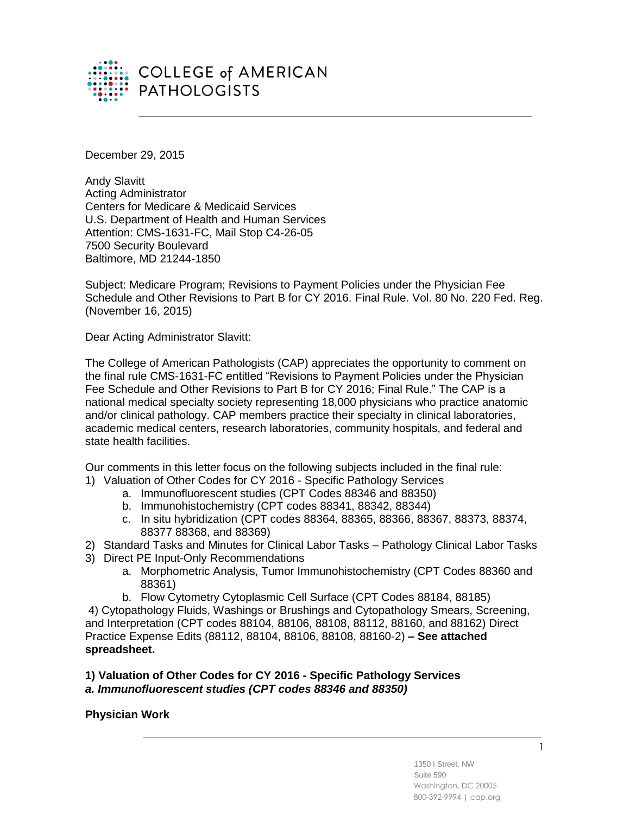

December 29, 2015

Andy Slavitt Acting Administrator Centers for Medicare & Medicaid Services U.S. Department of Health and Human Services Attention: CMS-1631-FC, Mail Stop C4-26-05 7500 Security Boulevard Baltimore, MD 21244-1850

Subject: Medicare Program; Revisions to Payment Policies under the Physician Fee Schedule and Other Revisions to Part B for CY 2016. Final Rule. Vol. 80 No. 220 Fed. Reg. (November 16, 2015)

Dear Acting Administrator Slavitt:

The College of American Pathologists (CAP) appreciates the opportunity to comment on the final rule CMS-1631-FC entitled "Revisions to Payment Policies under the Physician Fee Schedule and Other Revisions to Part B for CY 2016; Final Rule." The CAP is a national medical specialty society representing 18,000 physicians who practice anatomic and/or clinical pathology. CAP members practice their specialty in clinical laboratories, academic medical centers, research laboratories, community hospitals, and federal and state health facilities.

Our comments in this letter focus on the following subjects included in the final rule:

- 1) Valuation of Other Codes for CY 2016 Specific Pathology Services
	- a. Immunofluorescent studies (CPT Codes 88346 and 88350)
	- b. Immunohistochemistry (CPT codes 88341, 88342, 88344)
	- c. In situ hybridization (CPT codes 88364, 88365, 88366, 88367, 88373, 88374, 88377 88368, and 88369)
- 2) Standard Tasks and Minutes for Clinical Labor Tasks Pathology Clinical Labor Tasks
- 3) Direct PE Input-Only Recommendations
	- a. Morphometric Analysis, Tumor Immunohistochemistry (CPT Codes 88360 and 88361)
	- b. Flow Cytometry Cytoplasmic Cell Surface (CPT Codes 88184, 88185)

4) Cytopathology Fluids, Washings or Brushings and Cytopathology Smears, Screening, and Interpretation (CPT codes 88104, 88106, 88108, 88112, 88160, and 88162) Direct Practice Expense Edits (88112, 88104, 88106, 88108, 88160-2) **– See attached spreadsheet.**

# **1) Valuation of Other Codes for CY 2016 - Specific Pathology Services**  *a. Immunofluorescent studies (CPT codes 88346 and 88350)*

# **Physician Work**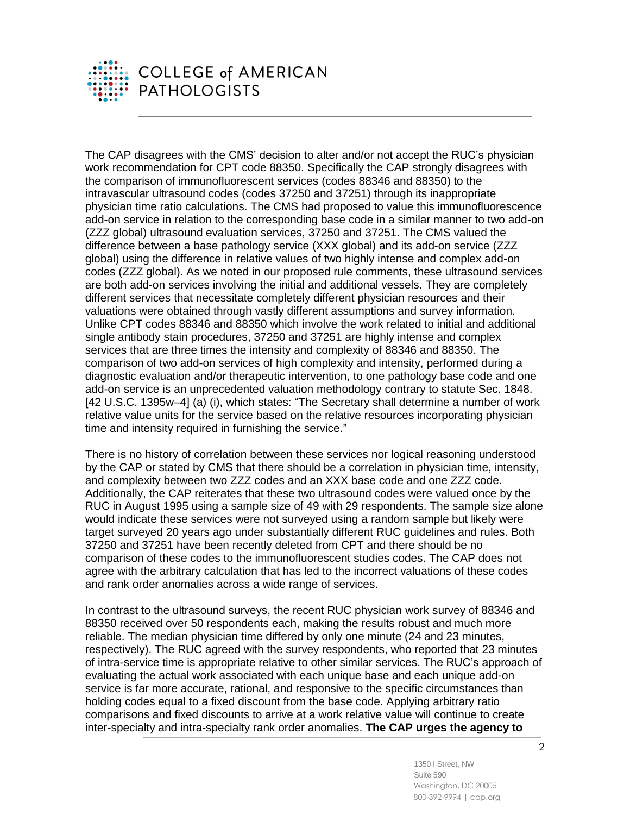

The CAP disagrees with the CMS' decision to alter and/or not accept the RUC's physician work recommendation for CPT code 88350. Specifically the CAP strongly disagrees with the comparison of immunofluorescent services (codes 88346 and 88350) to the intravascular ultrasound codes (codes 37250 and 37251) through its inappropriate physician time ratio calculations. The CMS had proposed to value this immunofluorescence add-on service in relation to the corresponding base code in a similar manner to two add-on (ZZZ global) ultrasound evaluation services, 37250 and 37251. The CMS valued the difference between a base pathology service (XXX global) and its add-on service (ZZZ global) using the difference in relative values of two highly intense and complex add-on codes (ZZZ global). As we noted in our proposed rule comments, these ultrasound services are both add-on services involving the initial and additional vessels. They are completely different services that necessitate completely different physician resources and their valuations were obtained through vastly different assumptions and survey information. Unlike CPT codes 88346 and 88350 which involve the work related to initial and additional single antibody stain procedures, 37250 and 37251 are highly intense and complex services that are three times the intensity and complexity of 88346 and 88350. The comparison of two add-on services of high complexity and intensity, performed during a diagnostic evaluation and/or therapeutic intervention, to one pathology base code and one add-on service is an unprecedented valuation methodology contrary to statute Sec. 1848. [42 U.S.C. 1395w-4] (a) (i), which states: "The Secretary shall determine a number of work relative value units for the service based on the relative resources incorporating physician time and intensity required in furnishing the service."

There is no history of correlation between these services nor logical reasoning understood by the CAP or stated by CMS that there should be a correlation in physician time, intensity, and complexity between two ZZZ codes and an XXX base code and one ZZZ code. Additionally, the CAP reiterates that these two ultrasound codes were valued once by the RUC in August 1995 using a sample size of 49 with 29 respondents. The sample size alone would indicate these services were not surveyed using a random sample but likely were target surveyed 20 years ago under substantially different RUC guidelines and rules. Both 37250 and 37251 have been recently deleted from CPT and there should be no comparison of these codes to the immunofluorescent studies codes. The CAP does not agree with the arbitrary calculation that has led to the incorrect valuations of these codes and rank order anomalies across a wide range of services.

In contrast to the ultrasound surveys, the recent RUC physician work survey of 88346 and 88350 received over 50 respondents each, making the results robust and much more reliable. The median physician time differed by only one minute (24 and 23 minutes, respectively). The RUC agreed with the survey respondents, who reported that 23 minutes of intra-service time is appropriate relative to other similar services. The RUC's approach of evaluating the actual work associated with each unique base and each unique add-on service is far more accurate, rational, and responsive to the specific circumstances than holding codes equal to a fixed discount from the base code. Applying arbitrary ratio comparisons and fixed discounts to arrive at a work relative value will continue to create inter-specialty and intra-specialty rank order anomalies. **The CAP urges the agency to**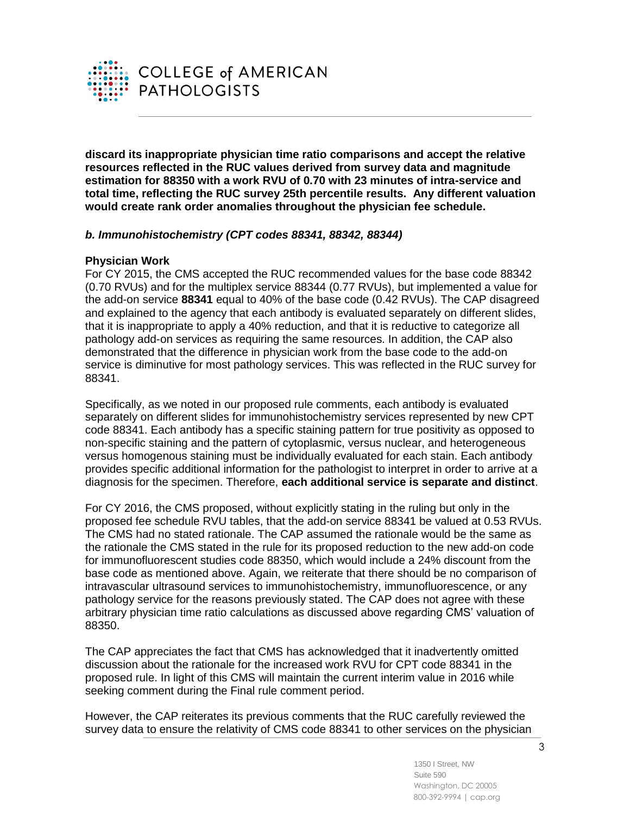

**discard its inappropriate physician time ratio comparisons and accept the relative resources reflected in the RUC values derived from survey data and magnitude estimation for 88350 with a work RVU of 0.70 with 23 minutes of intra-service and total time, reflecting the RUC survey 25th percentile results. Any different valuation would create rank order anomalies throughout the physician fee schedule.**

# *b. Immunohistochemistry (CPT codes 88341, 88342, 88344)*

### **Physician Work**

For CY 2015, the CMS accepted the RUC recommended values for the base code 88342 (0.70 RVUs) and for the multiplex service 88344 (0.77 RVUs), but implemented a value for the add-on service **88341** equal to 40% of the base code (0.42 RVUs). The CAP disagreed and explained to the agency that each antibody is evaluated separately on different slides, that it is inappropriate to apply a 40% reduction, and that it is reductive to categorize all pathology add-on services as requiring the same resources. In addition, the CAP also demonstrated that the difference in physician work from the base code to the add-on service is diminutive for most pathology services. This was reflected in the RUC survey for 88341.

Specifically, as we noted in our proposed rule comments, each antibody is evaluated separately on different slides for immunohistochemistry services represented by new CPT code 88341. Each antibody has a specific staining pattern for true positivity as opposed to non-specific staining and the pattern of cytoplasmic, versus nuclear, and heterogeneous versus homogenous staining must be individually evaluated for each stain. Each antibody provides specific additional information for the pathologist to interpret in order to arrive at a diagnosis for the specimen. Therefore, **each additional service is separate and distinct**.

For CY 2016, the CMS proposed, without explicitly stating in the ruling but only in the proposed fee schedule RVU tables, that the add-on service 88341 be valued at 0.53 RVUs. The CMS had no stated rationale. The CAP assumed the rationale would be the same as the rationale the CMS stated in the rule for its proposed reduction to the new add-on code for immunofluorescent studies code 88350, which would include a 24% discount from the base code as mentioned above. Again, we reiterate that there should be no comparison of intravascular ultrasound services to immunohistochemistry, immunofluorescence, or any pathology service for the reasons previously stated. The CAP does not agree with these arbitrary physician time ratio calculations as discussed above regarding CMS' valuation of 88350.

The CAP appreciates the fact that CMS has acknowledged that it inadvertently omitted discussion about the rationale for the increased work RVU for CPT code 88341 in the proposed rule. In light of this CMS will maintain the current interim value in 2016 while seeking comment during the Final rule comment period.

However, the CAP reiterates its previous comments that the RUC carefully reviewed the survey data to ensure the relativity of CMS code 88341 to other services on the physician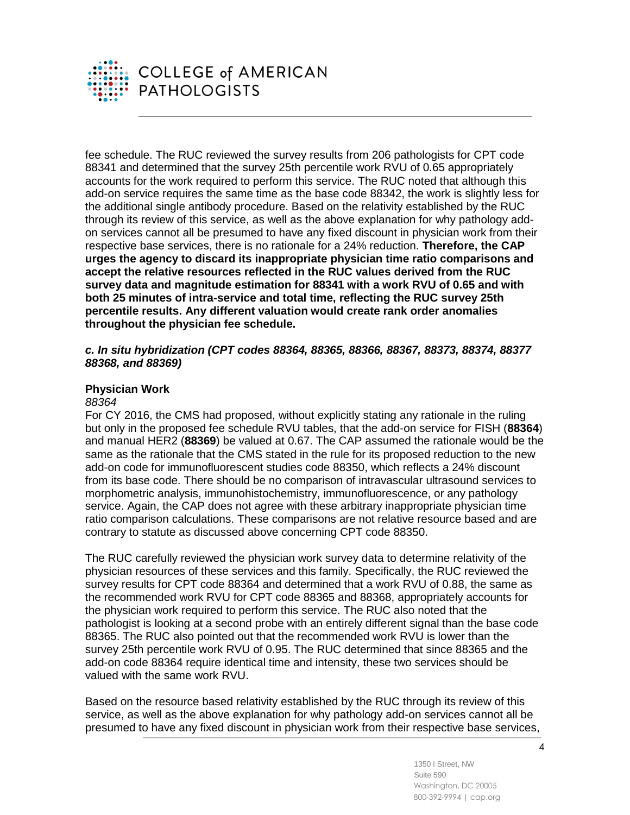

fee schedule. The RUC reviewed the survey results from 206 pathologists for CPT code 88341 and determined that the survey 25th percentile work RVU of 0.65 appropriately accounts for the work required to perform this service. The RUC noted that although this add-on service requires the same time as the base code 88342, the work is slightly less for the additional single antibody procedure. Based on the relativity established by the RUC through its review of this service, as well as the above explanation for why pathology addon services cannot all be presumed to have any fixed discount in physician work from their respective base services, there is no rationale for a 24% reduction. **Therefore, the CAP urges the agency to discard its inappropriate physician time ratio comparisons and accept the relative resources reflected in the RUC values derived from the RUC survey data and magnitude estimation for 88341 with a work RVU of 0.65 and with both 25 minutes of intra-service and total time, reflecting the RUC survey 25th percentile results. Any different valuation would create rank order anomalies throughout the physician fee schedule.**

## *c. In situ hybridization (CPT codes 88364, 88365, 88366, 88367, 88373, 88374, 88377 88368, and 88369)*

### **Physician Work**

### *88364*

For CY 2016, the CMS had proposed, without explicitly stating any rationale in the ruling but only in the proposed fee schedule RVU tables, that the add-on service for FISH (**88364**) and manual HER2 (**88369**) be valued at 0.67. The CAP assumed the rationale would be the same as the rationale that the CMS stated in the rule for its proposed reduction to the new add-on code for immunofluorescent studies code 88350, which reflects a 24% discount from its base code. There should be no comparison of intravascular ultrasound services to morphometric analysis, immunohistochemistry, immunofluorescence, or any pathology service. Again, the CAP does not agree with these arbitrary inappropriate physician time ratio comparison calculations. These comparisons are not relative resource based and are contrary to statute as discussed above concerning CPT code 88350.

The RUC carefully reviewed the physician work survey data to determine relativity of the physician resources of these services and this family. Specifically, the RUC reviewed the survey results for CPT code 88364 and determined that a work RVU of 0.88, the same as the recommended work RVU for CPT code 88365 and 88368, appropriately accounts for the physician work required to perform this service. The RUC also noted that the pathologist is looking at a second probe with an entirely different signal than the base code 88365. The RUC also pointed out that the recommended work RVU is lower than the survey 25th percentile work RVU of 0.95. The RUC determined that since 88365 and the add-on code 88364 require identical time and intensity, these two services should be valued with the same work RVU.

Based on the resource based relativity established by the RUC through its review of this service, as well as the above explanation for why pathology add-on services cannot all be presumed to have any fixed discount in physician work from their respective base services,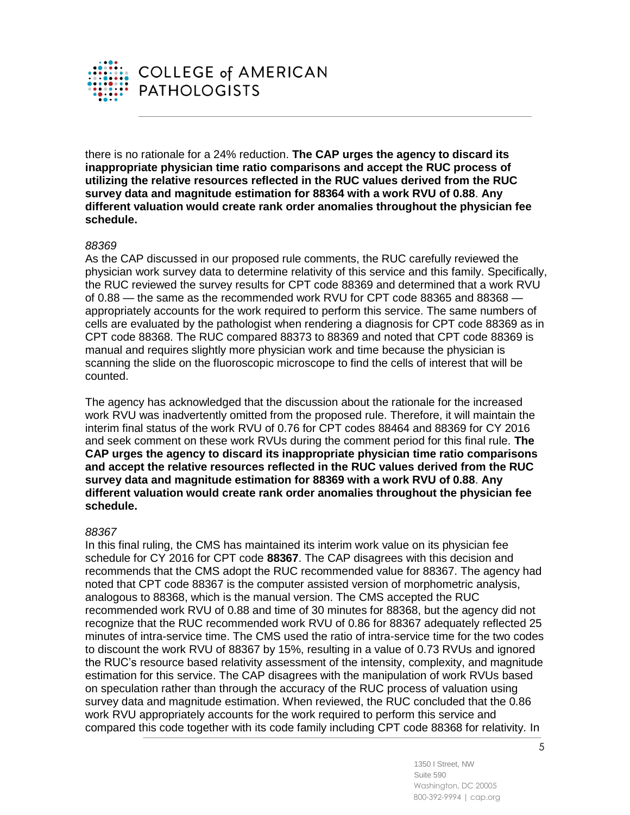

there is no rationale for a 24% reduction. **The CAP urges the agency to discard its inappropriate physician time ratio comparisons and accept the RUC process of utilizing the relative resources reflected in the RUC values derived from the RUC survey data and magnitude estimation for 88364 with a work RVU of 0.88**. **Any different valuation would create rank order anomalies throughout the physician fee schedule.**

### *88369*

As the CAP discussed in our proposed rule comments, the RUC carefully reviewed the physician work survey data to determine relativity of this service and this family. Specifically, the RUC reviewed the survey results for CPT code 88369 and determined that a work RVU of 0.88 — the same as the recommended work RVU for CPT code 88365 and 88368 appropriately accounts for the work required to perform this service. The same numbers of cells are evaluated by the pathologist when rendering a diagnosis for CPT code 88369 as in CPT code 88368. The RUC compared 88373 to 88369 and noted that CPT code 88369 is manual and requires slightly more physician work and time because the physician is scanning the slide on the fluoroscopic microscope to find the cells of interest that will be counted.

The agency has acknowledged that the discussion about the rationale for the increased work RVU was inadvertently omitted from the proposed rule. Therefore, it will maintain the interim final status of the work RVU of 0.76 for CPT codes 88464 and 88369 for CY 2016 and seek comment on these work RVUs during the comment period for this final rule. **The CAP urges the agency to discard its inappropriate physician time ratio comparisons and accept the relative resources reflected in the RUC values derived from the RUC survey data and magnitude estimation for 88369 with a work RVU of 0.88**. **Any different valuation would create rank order anomalies throughout the physician fee schedule.**

# *88367*

In this final ruling, the CMS has maintained its interim work value on its physician fee schedule for CY 2016 for CPT code **88367**. The CAP disagrees with this decision and recommends that the CMS adopt the RUC recommended value for 88367. The agency had noted that CPT code 88367 is the computer assisted version of morphometric analysis, analogous to 88368, which is the manual version. The CMS accepted the RUC recommended work RVU of 0.88 and time of 30 minutes for 88368, but the agency did not recognize that the RUC recommended work RVU of 0.86 for 88367 adequately reflected 25 minutes of intra-service time. The CMS used the ratio of intra-service time for the two codes to discount the work RVU of 88367 by 15%, resulting in a value of 0.73 RVUs and ignored the RUC's resource based relativity assessment of the intensity, complexity, and magnitude estimation for this service. The CAP disagrees with the manipulation of work RVUs based on speculation rather than through the accuracy of the RUC process of valuation using survey data and magnitude estimation. When reviewed, the RUC concluded that the 0.86 work RVU appropriately accounts for the work required to perform this service and compared this code together with its code family including CPT code 88368 for relativity. In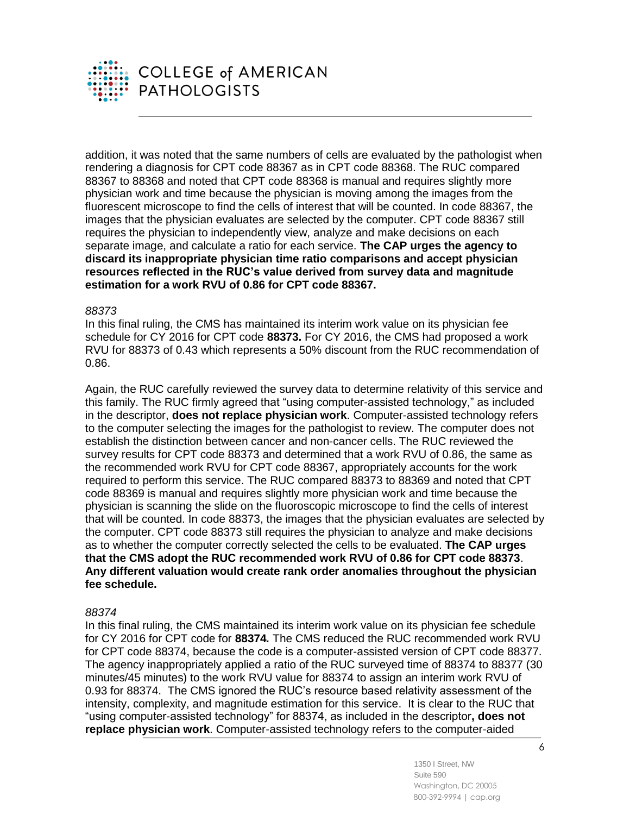

addition, it was noted that the same numbers of cells are evaluated by the pathologist when rendering a diagnosis for CPT code 88367 as in CPT code 88368. The RUC compared 88367 to 88368 and noted that CPT code 88368 is manual and requires slightly more physician work and time because the physician is moving among the images from the fluorescent microscope to find the cells of interest that will be counted. In code 88367, the images that the physician evaluates are selected by the computer. CPT code 88367 still requires the physician to independently view, analyze and make decisions on each separate image, and calculate a ratio for each service. **The CAP urges the agency to discard its inappropriate physician time ratio comparisons and accept physician resources reflected in the RUC's value derived from survey data and magnitude estimation for a work RVU of 0.86 for CPT code 88367.** 

#### *88373*

In this final ruling, the CMS has maintained its interim work value on its physician fee schedule for CY 2016 for CPT code **88373.** For CY 2016, the CMS had proposed a work RVU for 88373 of 0.43 which represents a 50% discount from the RUC recommendation of 0.86.

Again, the RUC carefully reviewed the survey data to determine relativity of this service and this family. The RUC firmly agreed that "using computer-assisted technology," as included in the descriptor, **does not replace physician work**. Computer-assisted technology refers to the computer selecting the images for the pathologist to review. The computer does not establish the distinction between cancer and non-cancer cells. The RUC reviewed the survey results for CPT code 88373 and determined that a work RVU of 0.86, the same as the recommended work RVU for CPT code 88367, appropriately accounts for the work required to perform this service. The RUC compared 88373 to 88369 and noted that CPT code 88369 is manual and requires slightly more physician work and time because the physician is scanning the slide on the fluoroscopic microscope to find the cells of interest that will be counted. In code 88373, the images that the physician evaluates are selected by the computer. CPT code 88373 still requires the physician to analyze and make decisions as to whether the computer correctly selected the cells to be evaluated. **The CAP urges that the CMS adopt the RUC recommended work RVU of 0.86 for CPT code 88373**. **Any different valuation would create rank order anomalies throughout the physician fee schedule.**

#### *88374*

In this final ruling, the CMS maintained its interim work value on its physician fee schedule for CY 2016 for CPT code for **88374***.* The CMS reduced the RUC recommended work RVU for CPT code 88374, because the code is a computer-assisted version of CPT code 88377. The agency inappropriately applied a ratio of the RUC surveyed time of 88374 to 88377 (30 minutes/45 minutes) to the work RVU value for 88374 to assign an interim work RVU of 0.93 for 88374. The CMS ignored the RUC's resource based relativity assessment of the intensity, complexity, and magnitude estimation for this service. It is clear to the RUC that "using computer-assisted technology" for 88374, as included in the descriptor**, does not replace physician work**. Computer-assisted technology refers to the computer-aided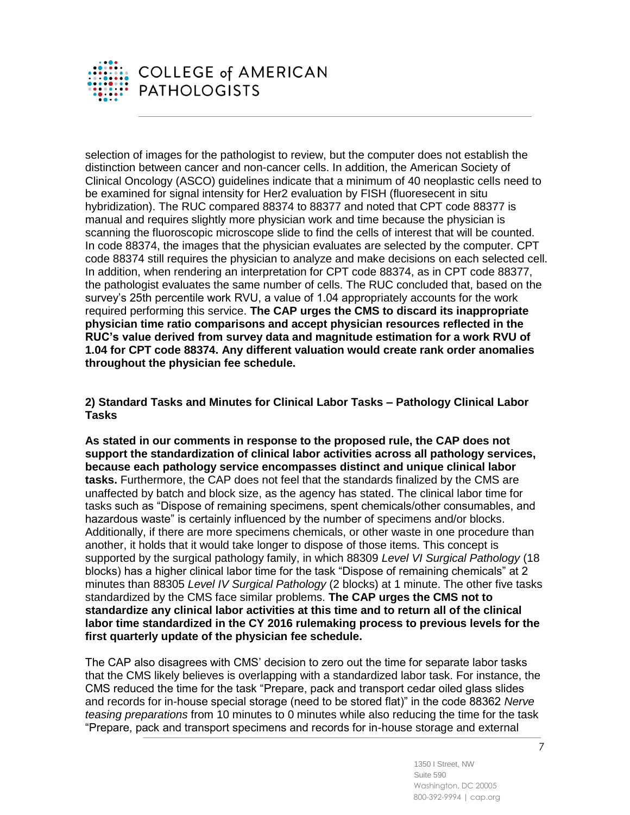

selection of images for the pathologist to review, but the computer does not establish the distinction between cancer and non-cancer cells. In addition, the American Society of Clinical Oncology (ASCO) guidelines indicate that a minimum of 40 neoplastic cells need to be examined for signal intensity for Her2 evaluation by FISH (fluoresecent in situ hybridization). The RUC compared 88374 to 88377 and noted that CPT code 88377 is manual and requires slightly more physician work and time because the physician is scanning the fluoroscopic microscope slide to find the cells of interest that will be counted. In code 88374, the images that the physician evaluates are selected by the computer. CPT code 88374 still requires the physician to analyze and make decisions on each selected cell. In addition, when rendering an interpretation for CPT code 88374, as in CPT code 88377, the pathologist evaluates the same number of cells. The RUC concluded that, based on the survey's 25th percentile work RVU, a value of 1.04 appropriately accounts for the work required performing this service. **The CAP urges the CMS to discard its inappropriate physician time ratio comparisons and accept physician resources reflected in the RUC's value derived from survey data and magnitude estimation for a work RVU of 1.04 for CPT code 88374. Any different valuation would create rank order anomalies throughout the physician fee schedule.**

**2) Standard Tasks and Minutes for Clinical Labor Tasks – Pathology Clinical Labor Tasks** 

**As stated in our comments in response to the proposed rule, the CAP does not support the standardization of clinical labor activities across all pathology services, because each pathology service encompasses distinct and unique clinical labor tasks.** Furthermore, the CAP does not feel that the standards finalized by the CMS are unaffected by batch and block size, as the agency has stated. The clinical labor time for tasks such as "Dispose of remaining specimens, spent chemicals/other consumables, and hazardous waste" is certainly influenced by the number of specimens and/or blocks. Additionally, if there are more specimens chemicals, or other waste in one procedure than another, it holds that it would take longer to dispose of those items. This concept is supported by the surgical pathology family, in which 88309 *Level VI Surgical Pathology* (18 blocks) has a higher clinical labor time for the task "Dispose of remaining chemicals" at 2 minutes than 88305 *Level IV Surgical Pathology* (2 blocks) at 1 minute. The other five tasks standardized by the CMS face similar problems. **The CAP urges the CMS not to standardize any clinical labor activities at this time and to return all of the clinical labor time standardized in the CY 2016 rulemaking process to previous levels for the first quarterly update of the physician fee schedule.**

The CAP also disagrees with CMS' decision to zero out the time for separate labor tasks that the CMS likely believes is overlapping with a standardized labor task. For instance, the CMS reduced the time for the task "Prepare, pack and transport cedar oiled glass slides and records for in-house special storage (need to be stored flat)" in the code 88362 *Nerve teasing preparations* from 10 minutes to 0 minutes while also reducing the time for the task "Prepare, pack and transport specimens and records for in-house storage and external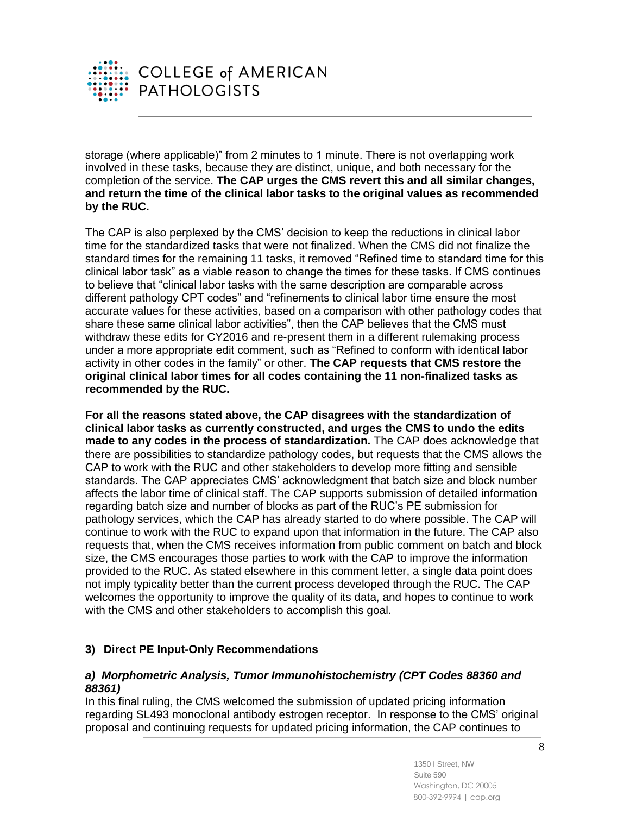

storage (where applicable)" from 2 minutes to 1 minute. There is not overlapping work involved in these tasks, because they are distinct, unique, and both necessary for the completion of the service. **The CAP urges the CMS revert this and all similar changes, and return the time of the clinical labor tasks to the original values as recommended by the RUC.**

The CAP is also perplexed by the CMS' decision to keep the reductions in clinical labor time for the standardized tasks that were not finalized. When the CMS did not finalize the standard times for the remaining 11 tasks, it removed "Refined time to standard time for this clinical labor task" as a viable reason to change the times for these tasks. If CMS continues to believe that "clinical labor tasks with the same description are comparable across different pathology CPT codes" and "refinements to clinical labor time ensure the most accurate values for these activities, based on a comparison with other pathology codes that share these same clinical labor activities", then the CAP believes that the CMS must withdraw these edits for CY2016 and re-present them in a different rulemaking process under a more appropriate edit comment, such as "Refined to conform with identical labor activity in other codes in the family" or other. **The CAP requests that CMS restore the original clinical labor times for all codes containing the 11 non-finalized tasks as recommended by the RUC.**

**For all the reasons stated above, the CAP disagrees with the standardization of clinical labor tasks as currently constructed, and urges the CMS to undo the edits made to any codes in the process of standardization.** The CAP does acknowledge that there are possibilities to standardize pathology codes, but requests that the CMS allows the CAP to work with the RUC and other stakeholders to develop more fitting and sensible standards. The CAP appreciates CMS' acknowledgment that batch size and block number affects the labor time of clinical staff. The CAP supports submission of detailed information regarding batch size and number of blocks as part of the RUC's PE submission for pathology services, which the CAP has already started to do where possible. The CAP will continue to work with the RUC to expand upon that information in the future. The CAP also requests that, when the CMS receives information from public comment on batch and block size, the CMS encourages those parties to work with the CAP to improve the information provided to the RUC. As stated elsewhere in this comment letter, a single data point does not imply typicality better than the current process developed through the RUC. The CAP welcomes the opportunity to improve the quality of its data, and hopes to continue to work with the CMS and other stakeholders to accomplish this goal.

# **3) Direct PE Input-Only Recommendations**

# *a) Morphometric Analysis, Tumor Immunohistochemistry (CPT Codes 88360 and 88361)*

In this final ruling, the CMS welcomed the submission of updated pricing information regarding SL493 monoclonal antibody estrogen receptor. In response to the CMS' original proposal and continuing requests for updated pricing information, the CAP continues to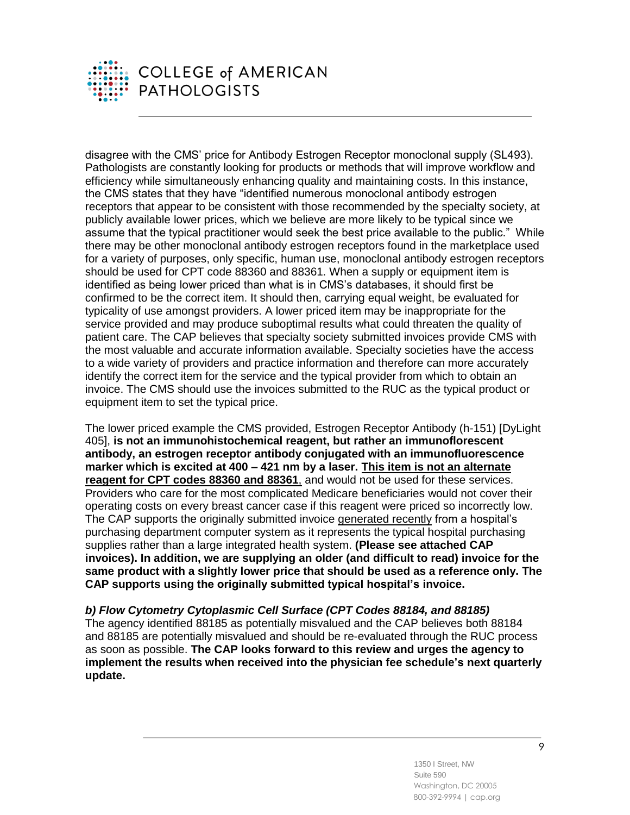

disagree with the CMS' price for Antibody Estrogen Receptor monoclonal supply (SL493). Pathologists are constantly looking for products or methods that will improve workflow and efficiency while simultaneously enhancing quality and maintaining costs. In this instance, the CMS states that they have "identified numerous monoclonal antibody estrogen receptors that appear to be consistent with those recommended by the specialty society, at publicly available lower prices, which we believe are more likely to be typical since we assume that the typical practitioner would seek the best price available to the public." While there may be other monoclonal antibody estrogen receptors found in the marketplace used for a variety of purposes, only specific, human use, monoclonal antibody estrogen receptors should be used for CPT code 88360 and 88361. When a supply or equipment item is identified as being lower priced than what is in CMS's databases, it should first be confirmed to be the correct item. It should then, carrying equal weight, be evaluated for typicality of use amongst providers. A lower priced item may be inappropriate for the service provided and may produce suboptimal results what could threaten the quality of patient care. The CAP believes that specialty society submitted invoices provide CMS with the most valuable and accurate information available. Specialty societies have the access to a wide variety of providers and practice information and therefore can more accurately identify the correct item for the service and the typical provider from which to obtain an invoice. The CMS should use the invoices submitted to the RUC as the typical product or equipment item to set the typical price.

The lower priced example the CMS provided, Estrogen Receptor Antibody (h-151) [DyLight 405], **is not an immunohistochemical reagent, but rather an immunoflorescent antibody, an estrogen receptor antibody conjugated with an immunofluorescence marker which is excited at 400 – 421 nm by a laser. This item is not an alternate reagent for CPT codes 88360 and 88361**, and would not be used for these services. Providers who care for the most complicated Medicare beneficiaries would not cover their operating costs on every breast cancer case if this reagent were priced so incorrectly low. The CAP supports the originally submitted invoice generated recently from a hospital's purchasing department computer system as it represents the typical hospital purchasing supplies rather than a large integrated health system. **(Please see attached CAP invoices). In addition, we are supplying an older (and difficult to read) invoice for the same product with a slightly lower price that should be used as a reference only. The CAP supports using the originally submitted typical hospital's invoice.**

*b) Flow Cytometry Cytoplasmic Cell Surface (CPT Codes 88184, and 88185)*  The agency identified 88185 as potentially misvalued and the CAP believes both 88184 and 88185 are potentially misvalued and should be re-evaluated through the RUC process as soon as possible. **The CAP looks forward to this review and urges the agency to implement the results when received into the physician fee schedule's next quarterly update.**